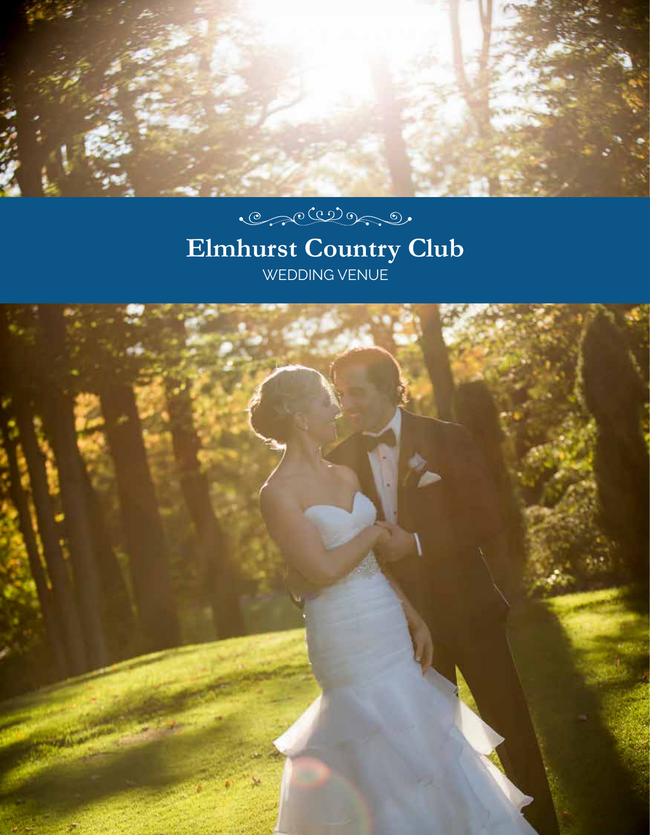

# $\begin{picture}(120,15) \put(0,0){\vector(1,0){100}} \put(15,0){\vector(1,0){100}} \put(15,0){\vector(1,0){100}} \put(15,0){\vector(1,0){100}} \put(15,0){\vector(1,0){100}} \put(15,0){\vector(1,0){100}} \put(15,0){\vector(1,0){100}} \put(15,0){\vector(1,0){100}} \put(15,0){\vector(1,0){100}} \put(15,0){\vector(1,0){100}} \put(15,0){\vector(1,0){100}}$

# **Elmhurst Country Club** WEDDING VENUE

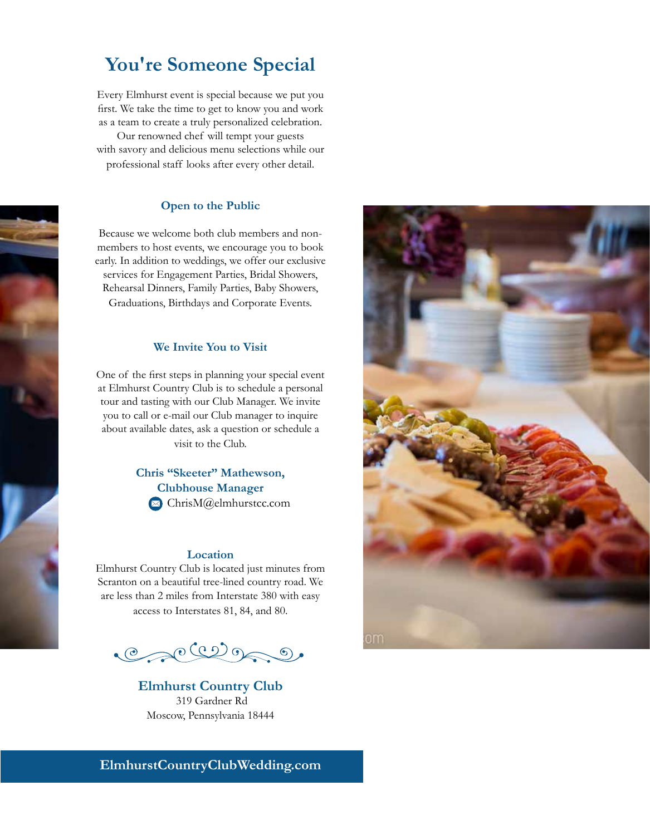# **You're Someone Special**

Every Elmhurst event is special because we put you first. We take the time to get to know you and work as a team to create a truly personalized celebration.

Our renowned chef will tempt your guests with savory and delicious menu selections while our professional staff looks after every other detail.

#### **Open to the Public**

Because we welcome both club members and nonmembers to host events, we encourage you to book early. In addition to weddings, we offer our exclusive services for Engagement Parties, Bridal Showers, Rehearsal Dinners, Family Parties, Baby Showers, Graduations, Birthdays and Corporate Events.

#### **We Invite You to Visit**

One of the first steps in planning your special event at Elmhurst Country Club is to schedule a personal tour and tasting with our Club Manager. We invite you to call or e-mail our Club manager to inquire about available dates, ask a question or schedule a visit to the Club.

#### **Chris "Skeeter" Mathewson, Clubhouse Manager** ChrisM@elmhurstcc.com

#### **Location**

Elmhurst Country Club is located just minutes from Scranton on a beautiful tree-lined country road. We are less than 2 miles from Interstate 380 with easy access to Interstates 81, 84, and 80.

 $\begin{picture}(120,15) \put(0,0){\vector(1,0){10}} \put(15,0){\vector(1,0){10}} \put(15,0){\vector(1,0){10}} \put(15,0){\vector(1,0){10}} \put(15,0){\vector(1,0){10}} \put(15,0){\vector(1,0){10}} \put(15,0){\vector(1,0){10}} \put(15,0){\vector(1,0){10}} \put(15,0){\vector(1,0){10}} \put(15,0){\vector(1,0){10}} \put(15,0){\vector(1,0){10}} \put(15,0){\vector($ 

**Elmhurst Country Club** 319 Gardner Rd Moscow, Pennsylvania 18444



**ElmhurstCountryClubWedding.com**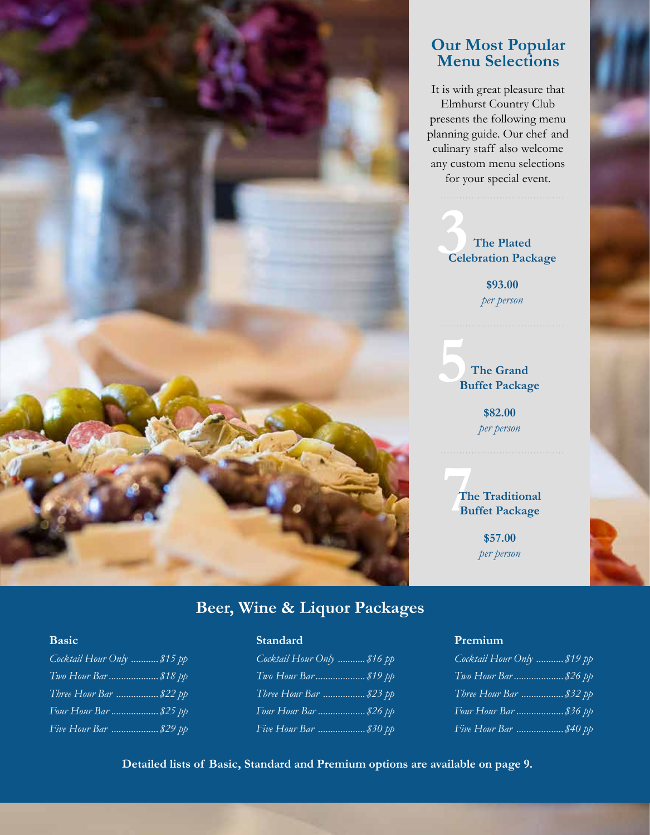

### **Our Most Popular Menu Selections**

It is with great pleasure that Elmhurst Country Club presents the following menu planning guide. Our chef and culinary staff also welcome any custom menu selections for your special event.

**3 Celebration Package The Plated** 

**\$93.00**  *per person*

**5 The Grand Buffet Package**

> **\$82.00**  *per person*

**7**<sup>th</sup><br>Bu **The Traditional Buffet Package**

> **\$57.00**  *per person*

# **Beer, Wine & Liquor Packages**

#### **Basic**

| Cocktail Hour $Only$ \$15 pp |
|------------------------------|
|                              |
| Three Hour Bar  \$22 pp      |
|                              |
| Five Hour Bar  \$29 pp       |

#### **Standard**

| Cocktail Hour Only  \$16 pp |
|-----------------------------|
|                             |
| Three Hour Bar  \$23 pp     |
| Four Hour Bar \$26 pp       |
| Five Hour Bar  \$30 pp      |

#### **Premium**

| Cocktail Hour Only  \$19 pp |
|-----------------------------|
| Two Hour Bar \$26 pp        |
| Three Hour Bar  \$32 pp     |
| Four Hour Bar  \$36 pp      |
| Five Hour Bar  \$40 pp      |

**Detailed lists of Basic, Standard and Premium options are available on page 9.**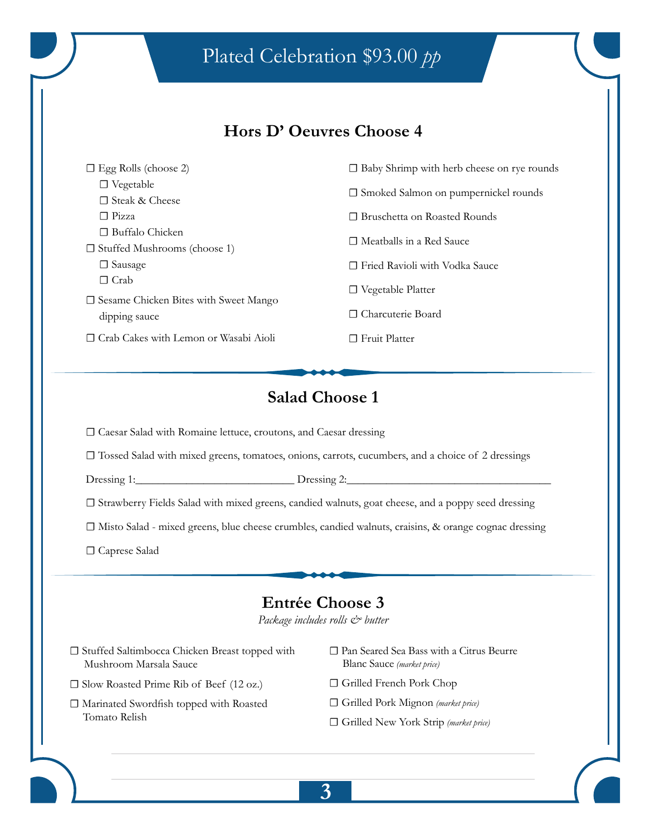# Plated Celebration \$93.00 *pp*

### **Hors D' Oeuvres Choose 4**

| $\Box$ Egg Rolls (choose 2)                  | $\Box$ Baby Shrimp with herb cheese on rye rounds |  |
|----------------------------------------------|---------------------------------------------------|--|
| $\Box$ Vegetable                             |                                                   |  |
| $\Box$ Steak & Cheese                        | $\square$ Smoked Salmon on pumpernickel rounds    |  |
| $\Box$ Pizza                                 | $\Box$ Bruschetta on Roasted Rounds               |  |
| $\Box$ Buffalo Chicken                       | $\Box$ Meatballs in a Red Sauce                   |  |
| $\Box$ Stuffed Mushrooms (choose 1)          |                                                   |  |
| $\Box$ Sausage                               | □ Fried Ravioli with Vodka Sauce                  |  |
| $\Box$ Crab                                  |                                                   |  |
| $\Box$ Sesame Chicken Bites with Sweet Mango | $\Box$ Vegetable Platter                          |  |
| dipping sauce                                | □ Charcuterie Board                               |  |
| $\Box$ Crab Cakes with Lemon or Wasabi Aioli | $\Box$ Fruit Platter                              |  |

# **Salad Choose 1**

**☐** Caesar Salad with Romaine lettuce, croutons, and Caesar dressing

**☐** Tossed Salad with mixed greens, tomatoes, onions, carrots, cucumbers, and a choice of 2 dressings

Dressing 1:\_\_\_\_\_\_\_\_\_\_\_\_\_\_\_\_\_\_\_\_\_\_\_\_\_\_\_\_ Dressing 2:\_\_\_\_\_\_\_\_\_\_\_\_\_\_\_\_\_\_\_\_\_\_\_\_\_\_\_\_\_\_\_\_\_\_\_\_

**□** Strawberry Fields Salad with mixed greens, candied walnuts, goat cheese, and a poppy seed dressing

**☐** Misto Salad - mixed greens, blue cheese crumbles, candied walnuts, craisins, & orange cognac dressing

**☐** Caprese Salad

### **Entrée Choose 3**

*Package includes rolls & butter* 

- **☐** Stuffed Saltimbocca Chicken Breast topped with Mushroom Marsala Sauce
- **☐** Slow Roasted Prime Rib of Beef (12 oz.)
- **☐** Marinated Swordfish topped with Roasted Tomato Relish
- **☐** Pan Seared Sea Bass with a Citrus Beurre Blanc Sauce *(market price)*
- **☐** Grilled French Pork Chop
- **☐** Grilled Pork Mignon *(market price)*
- **☐** Grilled New York Strip *(market price)*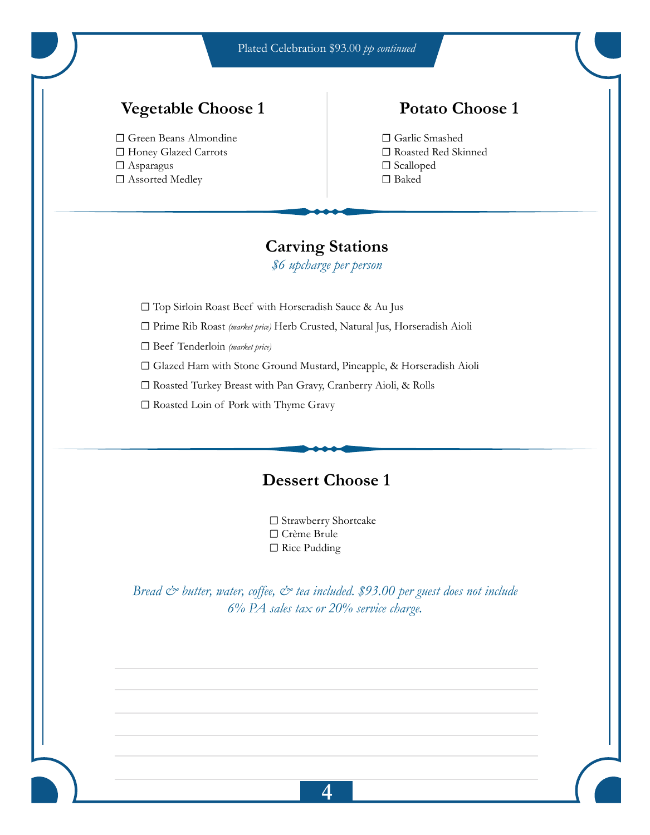Plated Celebration \$93.00 *pp continued*

# **Vegetable Choose 1**

**☐** Green Beans Almondine **☐** Honey Glazed Carrots **☐** Asparagus **☐** Assorted Medley

### **Potato Choose 1**

**☐** Garlic Smashed **☐** Roasted Red Skinned **☐** Scalloped **☐** Baked

## **Carving Stations**

*\$6 upcharge per person* 

**☐** Top Sirloin Roast Beef with Horseradish Sauce & Au Jus

**☐** Prime Rib Roast *(market price)* Herb Crusted, Natural Jus, Horseradish Aioli

**☐** Beef Tenderloin *(market price)*

**☐** Glazed Ham with Stone Ground Mustard, Pineapple, & Horseradish Aioli

**☐** Roasted Turkey Breast with Pan Gravy, Cranberry Aioli, & Rolls

**☐** Roasted Loin of Pork with Thyme Gravy

### **Dessert Choose 1**

**☐** Strawberry Shortcake **☐** Crème Brule **☐** Rice Pudding

*Bread & butter, water, coffee, & tea included. \$93.00 per guest does not include 6% PA sales tax or 20% service charge.*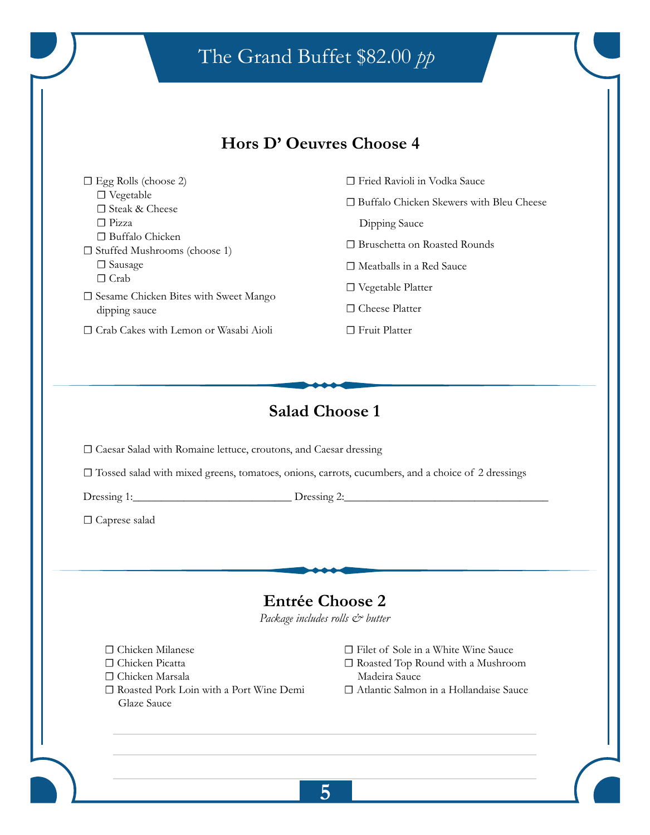# The Grand Buffet \$82.00 *pp*

### **Hors D' Oeuvres Choose 4**

| $\Box$ Egg Rolls (choose 2)                                                     | Fried Ravioli in Vodka Sauce<br>$\perp$                  |
|---------------------------------------------------------------------------------|----------------------------------------------------------|
| $\Box$ Vegetable<br>$\Box$ Steak & Cheese                                       | Buffalo Chicken Skewers with Bleu Cheese<br>$\mathsf{L}$ |
| $\Box$ Pizza                                                                    | Dipping Sauce                                            |
| $\Box$ Buffalo Chicken<br>$\Box$ Stuffed Mushrooms (choose 1)                   | $\Box$ Bruschetta on Roasted Rounds                      |
|                                                                                 |                                                          |
| $\Box$ Sausage                                                                  | $\Box$ Meatballs in a Red Sauce                          |
| $\Box$ Crab<br>$\square$ Sesame Chicken Bites with Sweet Mango<br>dipping sauce | $\Box$ Vegetable Platter                                 |
|                                                                                 | $\sqcap$ Cheese Platter                                  |
| $\Box$ Crab Cakes with Lemon or Wasabi Aioli                                    | <b>Fruit Platter</b>                                     |
|                                                                                 |                                                          |

# **Salad Choose 1**

**☐** Caesar Salad with Romaine lettuce, croutons, and Caesar dressing

**☐** Tossed salad with mixed greens, tomatoes, onions, carrots, cucumbers, and a choice of 2 dressings

Dressing 1:\_\_\_\_\_\_\_\_\_\_\_\_\_\_\_\_\_\_\_\_\_\_\_\_\_\_\_\_ Dressing 2:\_\_\_\_\_\_\_\_\_\_\_\_\_\_\_\_\_\_\_\_\_\_\_\_\_\_\_\_\_\_\_\_\_\_\_\_

**☐** Caprese salad

# **Entrée Choose 2**

*Package includes rolls & butter*

- **☐** Chicken Milanese
- **☐** Chicken Picatta
- **☐** Chicken Marsala
- **☐** Roasted Pork Loin with a Port Wine Demi Glaze Sauce
- **☐** Filet of Sole in a White Wine Sauce
- **☐** Roasted Top Round with a Mushroom Madeira Sauce
- **☐** Atlantic Salmon in a Hollandaise Sauce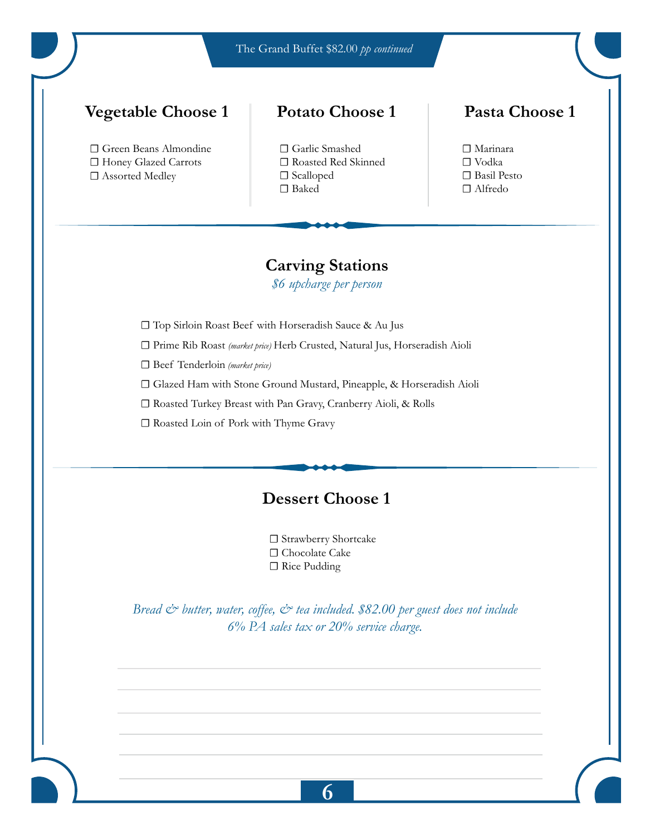The Grand Buffet \$82.00 *pp continued*

### **Vegetable Choose 1**

**☐** Green Beans Almondine **☐** Honey Glazed Carrots □ Assorted Medley

### **Potato Choose 1**



### **Pasta Choose 1**

**☐** Marinara **☐** Vodka **☐** Basil Pesto **☐** Alfredo

### **Carving Stations**

*\$6 upcharge per person* 

**☐** Top Sirloin Roast Beef with Horseradish Sauce & Au Jus

**☐** Prime Rib Roast *(market price)* Herb Crusted, Natural Jus, Horseradish Aioli

**☐** Beef Tenderloin *(market price)*

**☐** Glazed Ham with Stone Ground Mustard, Pineapple, & Horseradish Aioli

**☐** Roasted Turkey Breast with Pan Gravy, Cranberry Aioli, & Rolls

**☐** Roasted Loin of Pork with Thyme Gravy

## **Dessert Choose 1**

**☐** Strawberry Shortcake **☐** Chocolate Cake **☐** Rice Pudding

*Bread & butter, water, coffee, & tea included. \$82.00 per guest does not include 6% PA sales tax or 20% service charge.*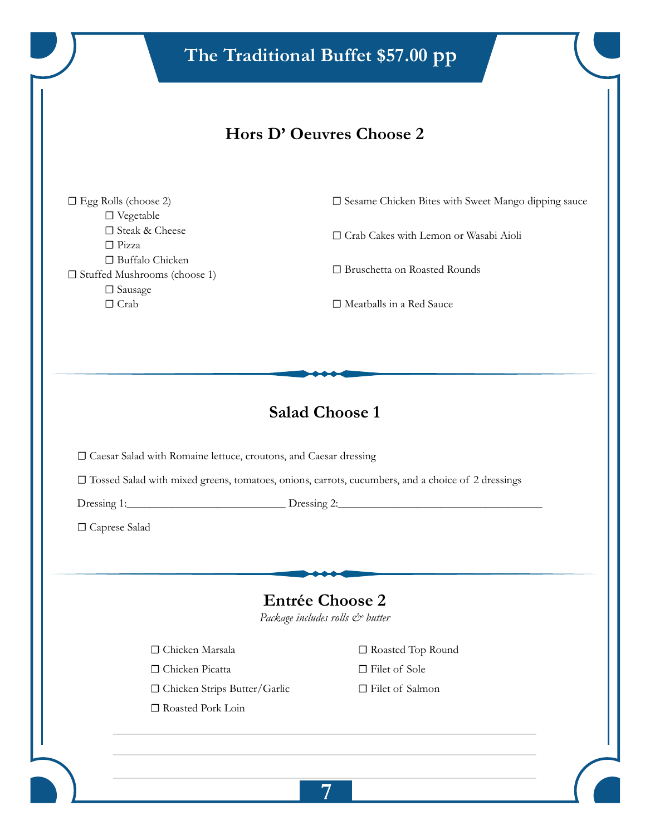# **Hors D' Oeuvres Choose 2**

**☐** Egg Rolls (choose 2) **☐** Vegetable **☐** Steak & Cheese **☐** Pizza **☐** Buffalo Chicken **☐** Stuffed Mushrooms (choose 1) **☐** Sausage **☐** Crab

**□** Sesame Chicken Bites with Sweet Mango dipping sauce

**☐** Crab Cakes with Lemon or Wasabi Aioli

**□** Bruschetta on Roasted Rounds

**☐** Meatballs in a Red Sauce

# **Salad Choose 1**

**☐** Caesar Salad with Romaine lettuce, croutons, and Caesar dressing

**☐** Tossed Salad with mixed greens, tomatoes, onions, carrots, cucumbers, and a choice of 2 dressings

Dressing 1:\_\_\_\_\_\_\_\_\_\_\_\_\_\_\_\_\_\_\_\_\_\_\_\_\_\_\_\_ Dressing 2:\_\_\_\_\_\_\_\_\_\_\_\_\_\_\_\_\_\_\_\_\_\_\_\_\_\_\_\_\_\_\_\_\_\_\_\_

**☐** Caprese Salad

# **Entrée Choose 2**

*Package includes rolls & butter* 

- **☐** Chicken Marsala
- **☐** Chicken Picatta
- **☐** Chicken Strips Butter/Garlic
- **☐** Roasted Pork Loin
- **☐** Roasted Top Round
- **☐** Filet of Sole
- **☐** Filet of Salmon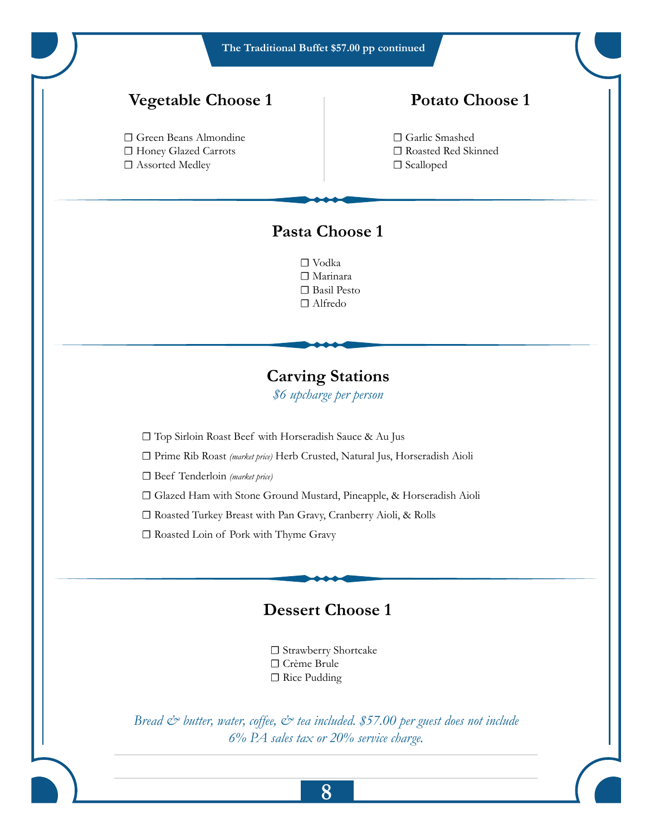**The Traditional Buffet \$57.00 pp continued**

### **Vegetable Choose 1**

**☐** Green Beans Almondine **☐** Honey Glazed Carrots **☐** Assorted Medley

# **Potato Choose 1**

**☐** Garlic Smashed **☐** Roasted Red Skinned **☐** Scalloped

# **Pasta Choose 1**

**☐** Vodka **☐** Marinara **☐** Basil Pesto **☐** Alfredo

**Carving Stations** *\$6 upcharge per person* 

**☐** Top Sirloin Roast Beef with Horseradish Sauce & Au Jus

**☐** Prime Rib Roast *(market price)* Herb Crusted, Natural Jus, Horseradish Aioli

**☐** Beef Tenderloin *(market price)*

**☐** Glazed Ham with Stone Ground Mustard, Pineapple, & Horseradish Aioli

**☐** Roasted Turkey Breast with Pan Gravy, Cranberry Aioli, & Rolls

**☐** Roasted Loin of Pork with Thyme Gravy

### **Dessert Choose 1**



*Bread & butter, water, coffee, & tea included. \$57.00 per guest does not include 6% PA sales tax or 20% service charge.*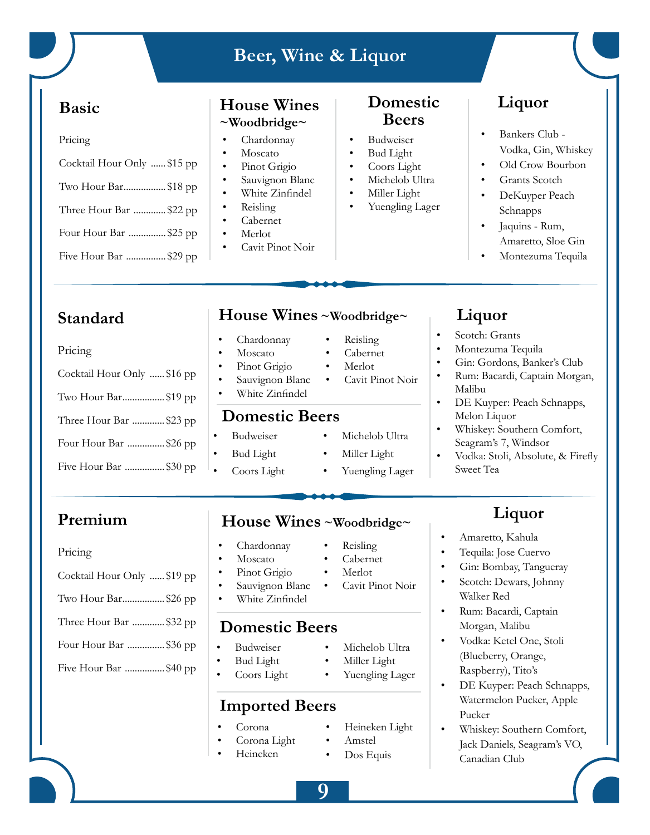# **Beer, Wine & Liquor**

### **Basic**

| т<br>c |  |
|--------|--|

| Cocktail Hour Only \$15 pp |
|----------------------------|
| Two Hour Bar\$18 pp        |
|                            |
| Three Hour Bar \$22 pp     |
| Four Hour Bar \$25 pp      |
| Five Hour Bar \$29 pp      |

#### **House Wines ~Woodbridge~**

- Chardonnay
- **Moscato**
- Pinot Grigio
- Sauvignon Blanc
- White Zinfindel
- Reisling
- Cabernet
- Merlot
- Cavit Pinot Noir

### **Domestic Beers**

- Budweiser
- Bud Light
- Coors Light
- Michelob Ultra
- Miller Light
	- Yuengling Lager

# **Liquor**

- Bankers Club Vodka, Gin, Whiskey
- Old Crow Bourbon
- Grants Scotch
- DeKuyper Peach Schnapps
- Jaquins Rum, Amaretto, Sloe Gin
- Montezuma Tequila

# **Standard**

#### **Moscato** Pinot Grigio Sauvignon Blanc White Zinfindel • Cabernet • Merlot • Cavit Pinot Noir **Domestic Beers Budweiser** • Bud Light • Coors Light Michelob Ultra Miller Light Yuengling Lager • Montezuma Tequila • Gin: Gordons, Banker's Club • Rum: Bacardi, Captain Morgan, Malibu • DE Kuyper: Peach Schnapps, Melon Liquor • Whiskey: Southern Comfort, Seagram's 7, Windsor • Vodka: Stoli, Absolute, & Firefly Sweet Tea Pricing Cocktail Hour Only ...... \$16 pp Two Hour Bar................. \$19 pp Three Hour Bar ............. \$23 pp Four Hour Bar ............... \$26 pp Five Hour Bar ................ \$30 pp **Premium House Wines ~Woodbridge~ Liquor**

#### Pricing

| Cocktail Hour Only \$19 pp |
|----------------------------|
| Two Hour Bar\$26 pp        |
| Three Hour Bar \$32 pp     |
| Four Hour Bar \$36 pp      |

### Five Hour Bar ................ \$40 pp

**House Wines ~Woodbridge~**

#### • Chardonnay • Reisling

# • Chardonnay

- **Moscato**
- Pinot Grigio
- Sauvignon Blanc
- White Zinfindel

# **Domestic Beers**

- Budweiser
- Bud Light
- Coors Light

# **Imported Beers**

- Corona
	- Corona Light
- Heineken
- Reisling
- Cabernet
- Merlot
- Cavit Pinot Noir
- - Michelob Ultra
	- Miller Light
	- Yuengling Lager

• Amstel Dos Equis

• Heineken Light

• Amaretto, Kahula

**Liquor** Scotch: Grants

- Tequila: Jose Cuervo
- Gin: Bombay, Tangueray
- Scotch: Dewars, Johnny Walker Red
- Rum: Bacardi, Captain Morgan, Malibu
- Vodka: Ketel One, Stoli (Blueberry, Orange, Raspberry), Tito's
- DE Kuyper: Peach Schnapps, Watermelon Pucker, Apple Pucker
- Whiskey: Southern Comfort, Jack Daniels, Seagram's VO, Canadian Club

**9**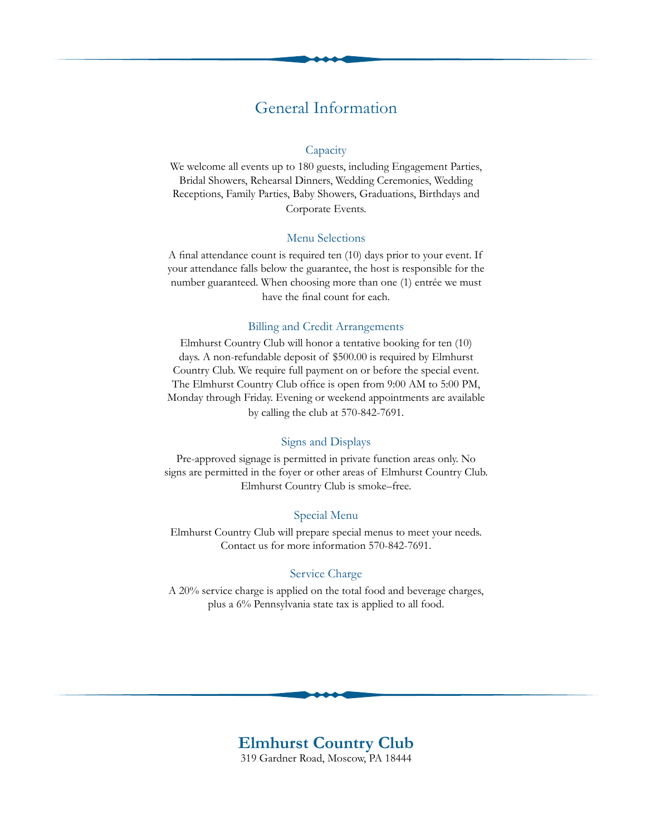### General Information

#### **Capacity**

We welcome all events up to 180 guests, including Engagement Parties, Bridal Showers, Rehearsal Dinners, Wedding Ceremonies, Wedding Receptions, Family Parties, Baby Showers, Graduations, Birthdays and Corporate Events.

#### Menu Selections

A final attendance count is required ten (10) days prior to your event. If your attendance falls below the guarantee, the host is responsible for the number guaranteed. When choosing more than one (1) entrée we must have the final count for each.

#### Billing and Credit Arrangements

Elmhurst Country Club will honor a tentative booking for ten (10) days. A non-refundable deposit of \$500.00 is required by Elmhurst Country Club. We require full payment on or before the special event. The Elmhurst Country Club office is open from 9:00 AM to 5:00 PM, Monday through Friday. Evening or weekend appointments are available by calling the club at 570-842-7691.

#### Signs and Displays

Pre-approved signage is permitted in private function areas only. No signs are permitted in the foyer or other areas of Elmhurst Country Club. Elmhurst Country Club is smoke–free.

#### Special Menu

Elmhurst Country Club will prepare special menus to meet your needs. Contact us for more information 570-842-7691.

#### Service Charge

A 20% service charge is applied on the total food and beverage charges, plus a 6% Pennsylvania state tax is applied to all food.

#### **Elmhurst Country Club** 319 Gardner Road, Moscow, PA 18444